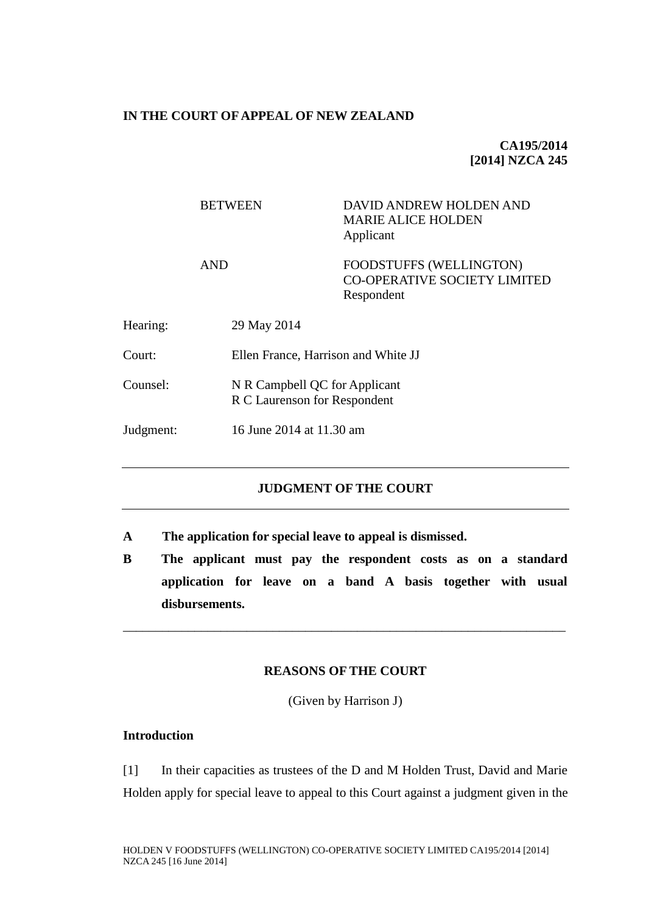#### **IN THE COURT OF APPEAL OF NEW ZEALAND**

# **CA195/2014 [2014] NZCA 245**

|           | <b>BETWEEN</b> | DAVID ANDREW HOLDEN AND<br><b>MARIE ALICE HOLDEN</b><br>Applicant     |  |
|-----------|----------------|-----------------------------------------------------------------------|--|
|           | <b>AND</b>     | FOODSTUFFS (WELLINGTON)<br>CO-OPERATIVE SOCIETY LIMITED<br>Respondent |  |
| Hearing:  | 29 May 2014    |                                                                       |  |
| Court:    |                | Ellen France, Harrison and White JJ                                   |  |
| Counsel:  |                | N R Campbell QC for Applicant<br>R C Laurenson for Respondent         |  |
| Judgment: |                | 16 June 2014 at 11.30 am                                              |  |

# **JUDGMENT OF THE COURT**

- **A The application for special leave to appeal is dismissed.**
- **B The applicant must pay the respondent costs as on a standard application for leave on a band A basis together with usual disbursements.**

#### **REASONS OF THE COURT**

\_\_\_\_\_\_\_\_\_\_\_\_\_\_\_\_\_\_\_\_\_\_\_\_\_\_\_\_\_\_\_\_\_\_\_\_\_\_\_\_\_\_\_\_\_\_\_\_\_\_\_\_\_\_\_\_\_\_\_\_\_\_\_\_\_\_\_\_

(Given by Harrison J)

## **Introduction**

[1] In their capacities as trustees of the D and M Holden Trust, David and Marie Holden apply for special leave to appeal to this Court against a judgment given in the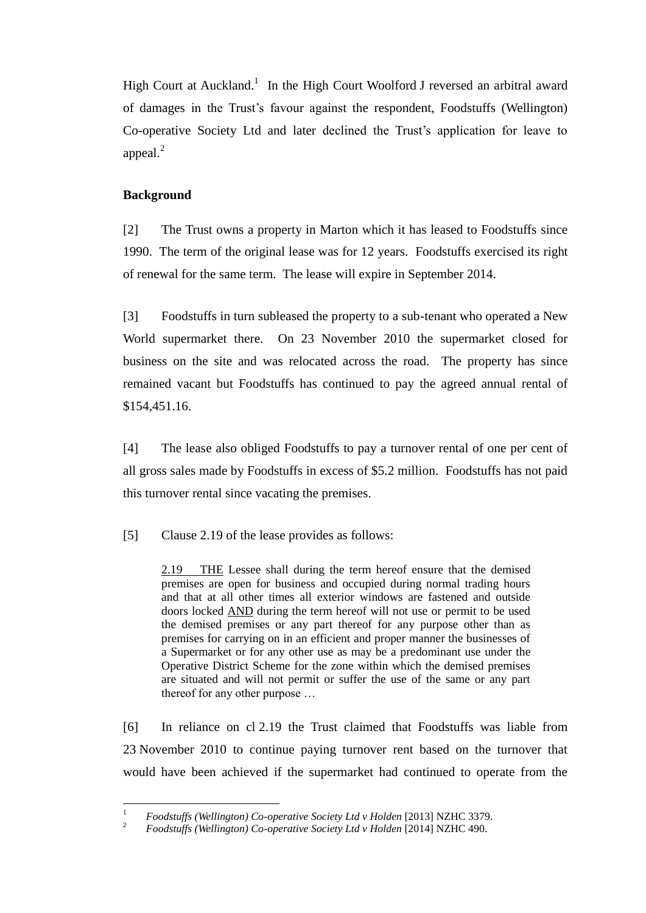High Court at Auckland.<sup>1</sup> In the High Court Woolford J reversed an arbitral award of damages in the Trust's favour against the respondent, Foodstuffs (Wellington) Co-operative Society Ltd and later declined the Trust's application for leave to appeal.<sup>2</sup>

# **Background**

[2] The Trust owns a property in Marton which it has leased to Foodstuffs since 1990. The term of the original lease was for 12 years. Foodstuffs exercised its right of renewal for the same term. The lease will expire in September 2014.

[3] Foodstuffs in turn subleased the property to a sub-tenant who operated a New World supermarket there. On 23 November 2010 the supermarket closed for business on the site and was relocated across the road. The property has since remained vacant but Foodstuffs has continued to pay the agreed annual rental of \$154,451.16.

[4] The lease also obliged Foodstuffs to pay a turnover rental of one per cent of all gross sales made by Foodstuffs in excess of \$5.2 million. Foodstuffs has not paid this turnover rental since vacating the premises.

[5] Clause 2.19 of the lease provides as follows:

2.19 THE Lessee shall during the term hereof ensure that the demised premises are open for business and occupied during normal trading hours and that at all other times all exterior windows are fastened and outside doors locked AND during the term hereof will not use or permit to be used the demised premises or any part thereof for any purpose other than as premises for carrying on in an efficient and proper manner the businesses of a Supermarket or for any other use as may be a predominant use under the Operative District Scheme for the zone within which the demised premises are situated and will not permit or suffer the use of the same or any part thereof for any other purpose …

[6] In reliance on cl 2.19 the Trust claimed that Foodstuffs was liable from 23 November 2010 to continue paying turnover rent based on the turnover that would have been achieved if the supermarket had continued to operate from the

 $\overline{1}$ <sup>1</sup> *Foodstuffs (Wellington) Co-operative Society Ltd v Holden* [2013] NZHC 3379.

<sup>2</sup> *Foodstuffs (Wellington) Co-operative Society Ltd v Holden* [2014] NZHC 490.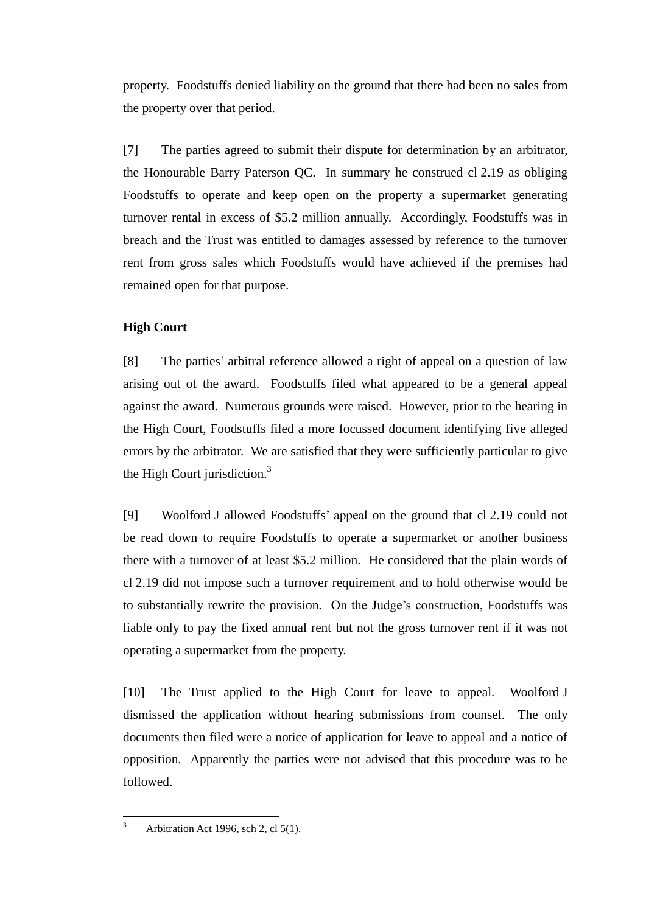property. Foodstuffs denied liability on the ground that there had been no sales from the property over that period.

[7] The parties agreed to submit their dispute for determination by an arbitrator, the Honourable Barry Paterson QC. In summary he construed cl 2.19 as obliging Foodstuffs to operate and keep open on the property a supermarket generating turnover rental in excess of \$5.2 million annually. Accordingly, Foodstuffs was in breach and the Trust was entitled to damages assessed by reference to the turnover rent from gross sales which Foodstuffs would have achieved if the premises had remained open for that purpose.

## **High Court**

[8] The parties' arbitral reference allowed a right of appeal on a question of law arising out of the award. Foodstuffs filed what appeared to be a general appeal against the award. Numerous grounds were raised. However, prior to the hearing in the High Court, Foodstuffs filed a more focussed document identifying five alleged errors by the arbitrator. We are satisfied that they were sufficiently particular to give the High Court jurisdiction. $3$ 

[9] Woolford J allowed Foodstuffs' appeal on the ground that cl 2.19 could not be read down to require Foodstuffs to operate a supermarket or another business there with a turnover of at least \$5.2 million. He considered that the plain words of cl 2.19 did not impose such a turnover requirement and to hold otherwise would be to substantially rewrite the provision. On the Judge's construction, Foodstuffs was liable only to pay the fixed annual rent but not the gross turnover rent if it was not operating a supermarket from the property.

[10] The Trust applied to the High Court for leave to appeal. Woolford J dismissed the application without hearing submissions from counsel. The only documents then filed were a notice of application for leave to appeal and a notice of opposition. Apparently the parties were not advised that this procedure was to be followed.

 $\overline{3}$ Arbitration Act 1996, sch 2, cl 5(1).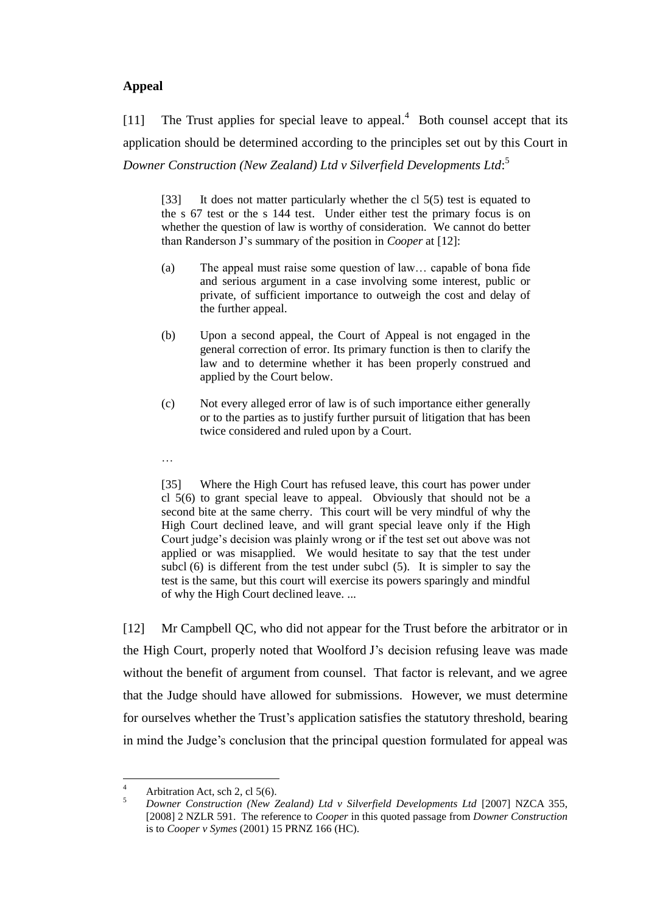## **Appeal**

[11] The Trust applies for special leave to appeal.<sup>4</sup> Both counsel accept that its application should be determined according to the principles set out by this Court in *Downer Construction (New Zealand) Ltd v Silverfield Developments Ltd*: 5

[33] It does not matter particularly whether the cl 5(5) test is equated to the s 67 test or the s 144 test. Under either test the primary focus is on whether the question of law is worthy of consideration. We cannot do better than Randerson J's summary of the position in *Cooper* at [12]:

- (a) The appeal must raise some question of law… capable of bona fide and serious argument in a case involving some interest, public or private, of sufficient importance to outweigh the cost and delay of the further appeal.
- (b) Upon a second appeal, the Court of Appeal is not engaged in the general correction of error. Its primary function is then to clarify the law and to determine whether it has been properly construed and applied by the Court below.
- (c) Not every alleged error of law is of such importance either generally or to the parties as to justify further pursuit of litigation that has been twice considered and ruled upon by a Court.
- …

[35] Where the High Court has refused leave, this court has power under cl 5(6) to grant special leave to appeal. Obviously that should not be a second bite at the same cherry. This court will be very mindful of why the High Court declined leave, and will grant special leave only if the High Court judge's decision was plainly wrong or if the test set out above was not applied or was misapplied. We would hesitate to say that the test under subcl (6) is different from the test under subcl (5). It is simpler to say the test is the same, but this court will exercise its powers sparingly and mindful of why the High Court declined leave. ...

[12] Mr Campbell QC, who did not appear for the Trust before the arbitrator or in the High Court, properly noted that Woolford J's decision refusing leave was made without the benefit of argument from counsel. That factor is relevant, and we agree that the Judge should have allowed for submissions. However, we must determine for ourselves whether the Trust's application satisfies the statutory threshold, bearing in mind the Judge's conclusion that the principal question formulated for appeal was

 $\overline{4}$ 4 Arbitration Act, sch 2, cl 5(6).

<sup>5</sup> *Downer Construction (New Zealand) Ltd v Silverfield Developments Ltd* [2007] NZCA 355, [2008] 2 NZLR 591. The reference to *Cooper* in this quoted passage from *Downer Construction* is to *Cooper v Symes* (2001) 15 PRNZ 166 (HC).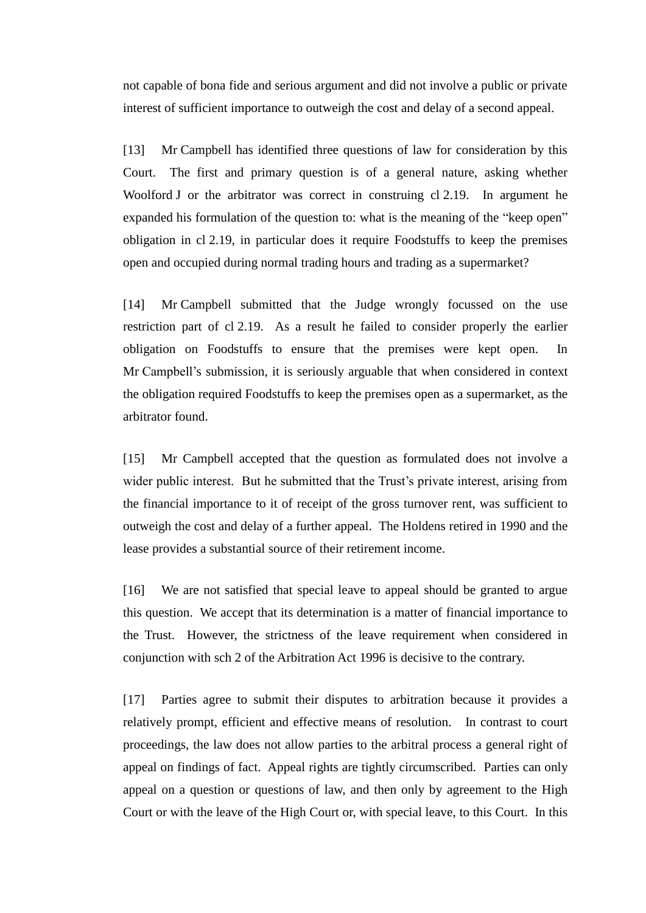not capable of bona fide and serious argument and did not involve a public or private interest of sufficient importance to outweigh the cost and delay of a second appeal.

[13] Mr Campbell has identified three questions of law for consideration by this Court. The first and primary question is of a general nature, asking whether Woolford J or the arbitrator was correct in construing cl 2.19. In argument he expanded his formulation of the question to: what is the meaning of the "keep open" obligation in cl 2.19, in particular does it require Foodstuffs to keep the premises open and occupied during normal trading hours and trading as a supermarket?

[14] Mr Campbell submitted that the Judge wrongly focussed on the use restriction part of cl 2.19. As a result he failed to consider properly the earlier obligation on Foodstuffs to ensure that the premises were kept open. In Mr Campbell's submission, it is seriously arguable that when considered in context the obligation required Foodstuffs to keep the premises open as a supermarket, as the arbitrator found.

[15] Mr Campbell accepted that the question as formulated does not involve a wider public interest. But he submitted that the Trust's private interest, arising from the financial importance to it of receipt of the gross turnover rent, was sufficient to outweigh the cost and delay of a further appeal. The Holdens retired in 1990 and the lease provides a substantial source of their retirement income.

[16] We are not satisfied that special leave to appeal should be granted to argue this question. We accept that its determination is a matter of financial importance to the Trust. However, the strictness of the leave requirement when considered in conjunction with sch 2 of the Arbitration Act 1996 is decisive to the contrary.

[17] Parties agree to submit their disputes to arbitration because it provides a relatively prompt, efficient and effective means of resolution. In contrast to court proceedings, the law does not allow parties to the arbitral process a general right of appeal on findings of fact. Appeal rights are tightly circumscribed. Parties can only appeal on a question or questions of law, and then only by agreement to the High Court or with the leave of the High Court or, with special leave, to this Court. In this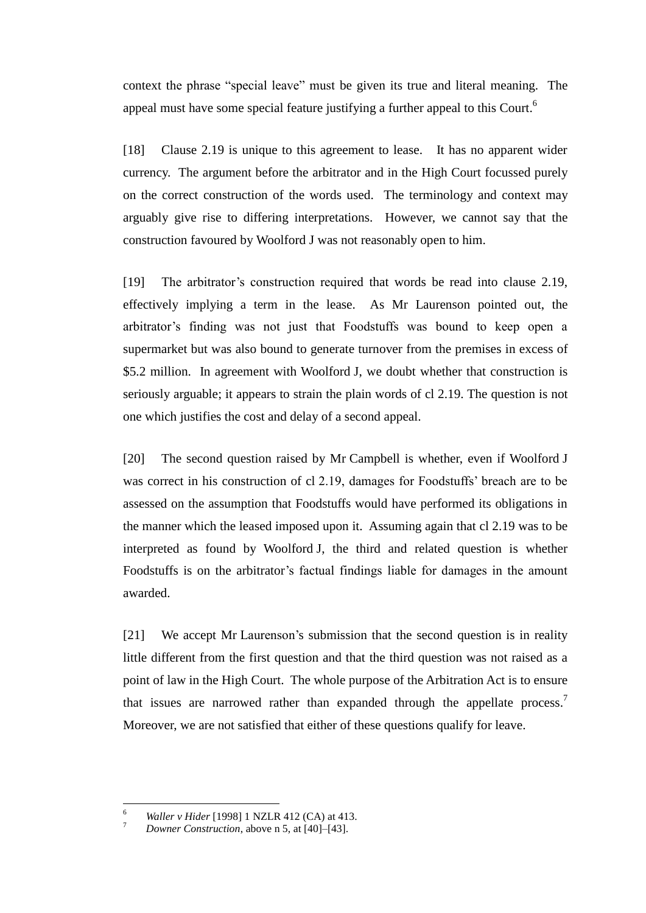context the phrase "special leave" must be given its true and literal meaning. The appeal must have some special feature justifying a further appeal to this Court.<sup>6</sup>

[18] Clause 2.19 is unique to this agreement to lease. It has no apparent wider currency. The argument before the arbitrator and in the High Court focussed purely on the correct construction of the words used. The terminology and context may arguably give rise to differing interpretations. However, we cannot say that the construction favoured by Woolford J was not reasonably open to him.

[19] The arbitrator's construction required that words be read into clause 2.19, effectively implying a term in the lease. As Mr Laurenson pointed out, the arbitrator's finding was not just that Foodstuffs was bound to keep open a supermarket but was also bound to generate turnover from the premises in excess of \$5.2 million. In agreement with Woolford J, we doubt whether that construction is seriously arguable; it appears to strain the plain words of cl 2.19. The question is not one which justifies the cost and delay of a second appeal.

[20] The second question raised by Mr Campbell is whether, even if Woolford J was correct in his construction of cl 2.19, damages for Foodstuffs' breach are to be assessed on the assumption that Foodstuffs would have performed its obligations in the manner which the leased imposed upon it. Assuming again that cl 2.19 was to be interpreted as found by Woolford J, the third and related question is whether Foodstuffs is on the arbitrator's factual findings liable for damages in the amount awarded.

[21] We accept Mr Laurenson's submission that the second question is in reality little different from the first question and that the third question was not raised as a point of law in the High Court. The whole purpose of the Arbitration Act is to ensure that issues are narrowed rather than expanded through the appellate process.<sup>7</sup> Moreover, we are not satisfied that either of these questions qualify for leave.

 $\overline{a}$ 

<sup>6</sup> *Waller v Hider* [1998] 1 NZLR 412 (CA) at 413.

<sup>7</sup> *Downer Construction*, above n 5, at [40]–[43].